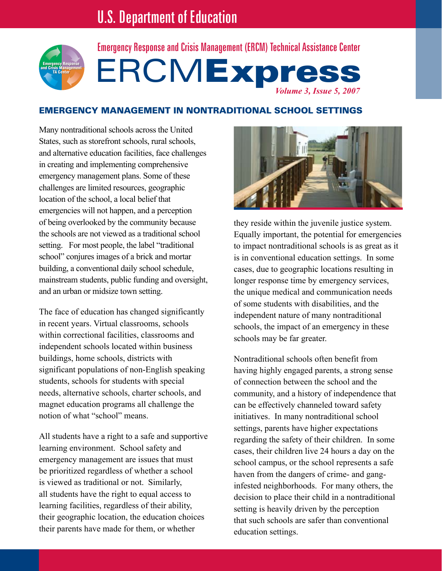

# ERCMExpress *Volume 3, Issue 5, 2007* Emergency Response and Crisis Management (ERCM) Technical Assistance Center

# Emergency Management in Nontraditional School Settings

Many nontraditional schools across the United States, such as storefront schools, rural schools, and alternative education facilities, face challenges in creating and implementing comprehensive emergency management plans. Some of these challenges are limited resources, geographic location of the school, a local belief that emergencies will not happen, and a perception of being overlooked by the community because the schools are not viewed as a traditional school setting. For most people, the label "traditional school" conjures images of a brick and mortar building, a conventional daily school schedule, mainstream students, public funding and oversight, and an urban or midsize town setting.

The face of education has changed significantly in recent years. Virtual classrooms, schools within correctional facilities, classrooms and independent schools located within business buildings, home schools, districts with significant populations of non-English speaking students, schools for students with special needs, alternative schools, charter schools, and magnet education programs all challenge the notion of what "school" means.

All students have a right to a safe and supportive learning environment. School safety and emergency management are issues that must be prioritized regardless of whether a school is viewed as traditional or not. Similarly, all students have the right to equal access to learning facilities, regardless of their ability, their geographic location, the education choices their parents have made for them, or whether



they reside within the juvenile justice system. Equally important, the potential for emergencies to impact nontraditional schools is as great as it is in conventional education settings. In some cases, due to geographic locations resulting in longer response time by emergency services, the unique medical and communication needs of some students with disabilities, and the independent nature of many nontraditional schools, the impact of an emergency in these schools may be far greater.

Nontraditional schools often benefit from having highly engaged parents, a strong sense of connection between the school and the community, and a history of independence that can be effectively channeled toward safety initiatives. In many nontraditional school settings, parents have higher expectations regarding the safety of their children. In some cases, their children live 24 hours a day on the school campus, or the school represents a safe haven from the dangers of crime- and ganginfested neighborhoods. For many others, the decision to place their child in a nontraditional setting is heavily driven by the perception that such schools are safer than conventional education settings.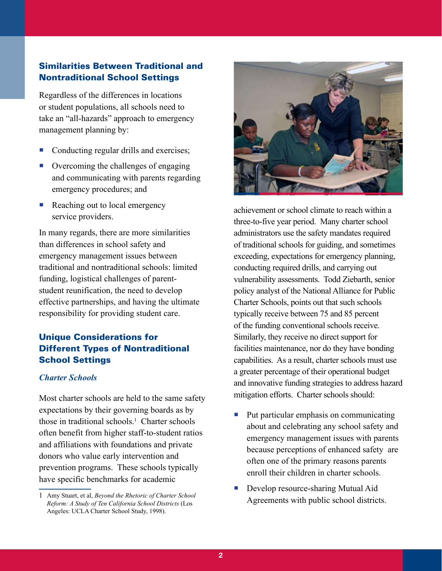## Similarities Between Traditional and Nontraditional School Settings

Regardless of the differences in locations or student populations, all schools need to take an "all-hazards" approach to emergency management planning by:

- Conducting regular drills and exercises;
- Overcoming the challenges of engaging and communicating with parents regarding emergency procedures; and
- Reaching out to local emergency service providers.

In many regards, there are more similarities than differences in school safety and emergency management issues between traditional and nontraditional schools: limited funding, logistical challenges of parentstudent reunification, the need to develop effective partnerships, and having the ultimate responsibility for providing student care.

# Unique Considerations for Different Types of Nontraditional School Settings

## *Charter Schools*

Most charter schools are held to the same safety expectations by their governing boards as by those in traditional schools.1 Charter schools often benefit from higher staff-to-student ratios and affiliations with foundations and private donors who value early intervention and prevention programs. These schools typically have specific benchmarks for academic



achievement or school climate to reach within a three-to-five year period. Many charter school administrators use the safety mandates required of traditional schools for guiding, and sometimes exceeding, expectations for emergency planning, conducting required drills, and carrying out vulnerability assessments. Todd Ziebarth, senior policy analyst of the National Alliance for Public Charter Schools, points out that such schools typically receive between 75 and 85 percent of the funding conventional schools receive. Similarly, they receive no direct support for facilities maintenance, nor do they have bonding capabilities. As a result, charter schools must use a greater percentage of their operational budget and innovative funding strategies to address hazard mitigation efforts. Charter schools should:

- Put particular emphasis on communicating about and celebrating any school safety and emergency management issues with parents because perceptions of enhanced safety are often one of the primary reasons parents enroll their children in charter schools.
- Develop resource-sharing Mutual Aid Agreements with public school districts.

<sup>1</sup> Amy Stuart, et al, *Beyond the Rhetoric of Charter School Reform: A Study of Ten California School Districts* (Los Angeles: UCLA Charter School Study, 1998).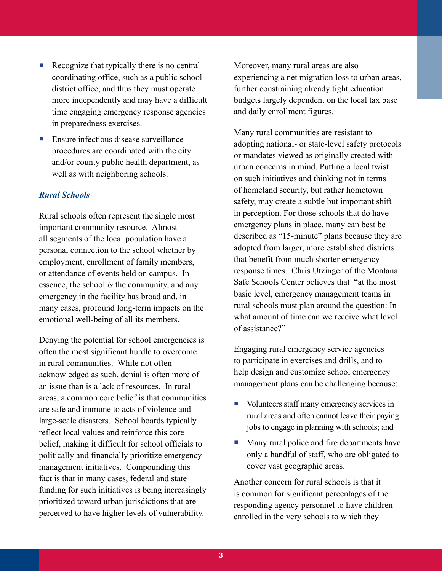- Recognize that typically there is no central coordinating office, such as a public school district office, and thus they must operate more independently and may have a difficult time engaging emergency response agencies in preparedness exercises.
- Ensure infectious disease surveillance procedures are coordinated with the city and/or county public health department, as well as with neighboring schools.

## *Rural Schools*

Rural schools often represent the single most important community resource. Almost all segments of the local population have a personal connection to the school whether by employment, enrollment of family members, or attendance of events held on campus. In essence, the school *is* the community, and any emergency in the facility has broad and, in many cases, profound long-term impacts on the emotional well-being of all its members.

Denying the potential for school emergencies is often the most significant hurdle to overcome in rural communities. While not often acknowledged as such, denial is often more of an issue than is a lack of resources. In rural areas, a common core belief is that communities are safe and immune to acts of violence and large-scale disasters. School boards typically reflect local values and reinforce this core belief, making it difficult for school officials to politically and financially prioritize emergency management initiatives. Compounding this fact is that in many cases, federal and state funding for such initiatives is being increasingly prioritized toward urban jurisdictions that are perceived to have higher levels of vulnerability.

Moreover, many rural areas are also experiencing a net migration loss to urban areas, further constraining already tight education budgets largely dependent on the local tax base and daily enrollment figures.

Many rural communities are resistant to adopting national- or state-level safety protocols or mandates viewed as originally created with urban concerns in mind. Putting a local twist on such initiatives and thinking not in terms of homeland security, but rather hometown safety, may create a subtle but important shift in perception. For those schools that do have emergency plans in place, many can best be described as "15-minute" plans because they are adopted from larger, more established districts that benefit from much shorter emergency response times. Chris Utzinger of the Montana Safe Schools Center believes that "at the most basic level, emergency management teams in rural schools must plan around the question: In what amount of time can we receive what level of assistance?"

Engaging rural emergency service agencies to participate in exercises and drills, and to help design and customize school emergency management plans can be challenging because:

- Volunteers staff many emergency services in rural areas and often cannot leave their paying jobs to engage in planning with schools; and
- **Many rural police and fire departments have** only a handful of staff, who are obligated to cover vast geographic areas.

Another concern for rural schools is that it is common for significant percentages of the responding agency personnel to have children enrolled in the very schools to which they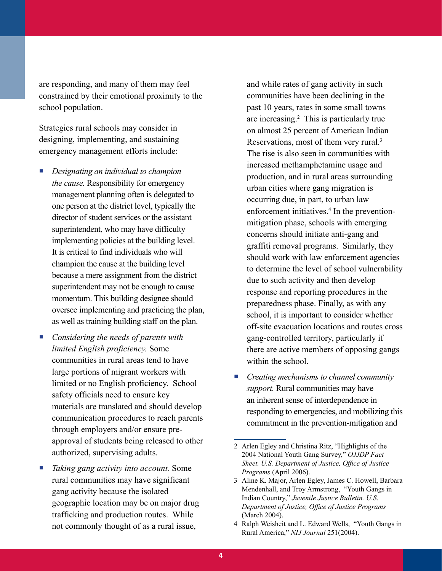are responding, and many of them may feel constrained by their emotional proximity to the school population.

Strategies rural schools may consider in designing, implementing, and sustaining emergency management efforts include:

- *Designating an individual to champion the cause.* Responsibility for emergency management planning often is delegated to one person at the district level, typically the director of student services or the assistant superintendent, who may have difficulty implementing policies at the building level. It is critical to find individuals who will champion the cause at the building level because a mere assignment from the district superintendent may not be enough to cause momentum. This building designee should oversee implementing and practicing the plan, as well as training building staff on the plan.
- *Considering the needs of parents with limited English proficiency.* Some communities in rural areas tend to have large portions of migrant workers with limited or no English proficiency. School safety officials need to ensure key materials are translated and should develop communication procedures to reach parents through employers and/or ensure preapproval of students being released to other authorized, supervising adults.
- *Taking gang activity into account.* Some rural communities may have significant gang activity because the isolated geographic location may be on major drug trafficking and production routes. While not commonly thought of as a rural issue,

and while rates of gang activity in such communities have been declining in the past 10 years, rates in some small towns are increasing.2 This is particularly true on almost 25 percent of American Indian Reservations, most of them very rural.<sup>3</sup> The rise is also seen in communities with increased methamphetamine usage and production, and in rural areas surrounding urban cities where gang migration is occurring due, in part, to urban law enforcement initiatives.<sup>4</sup> In the preventionmitigation phase, schools with emerging concerns should initiate anti-gang and graffiti removal programs. Similarly, they should work with law enforcement agencies to determine the level of school vulnerability due to such activity and then develop response and reporting procedures in the preparedness phase. Finally, as with any school, it is important to consider whether off-site evacuation locations and routes cross gang-controlled territory, particularly if there are active members of opposing gangs within the school.

 *Creating mechanisms to channel community support.* Rural communities may have an inherent sense of interdependence in responding to emergencies, and mobilizing this commitment in the prevention-mitigation and

<sup>2</sup> Arlen Egley and Christina Ritz, "Highlights of the 2004 National Youth Gang Survey," *OJJDP Fact Sheet. U.S. Department of Justice, Office of Justice Programs* (April 2006).

<sup>3</sup> Aline K. Major, Arlen Egley, James C. Howell, Barbara Mendenhall, and Troy Armstrong, "Youth Gangs in Indian Country," *Juvenile Justice Bulletin. U.S. Department of Justice, Office of Justice Programs* (March 2004).

<sup>4</sup> Ralph Weisheit and L. Edward Wells, "Youth Gangs in Rural America," *NIJ Journal* 251(2004).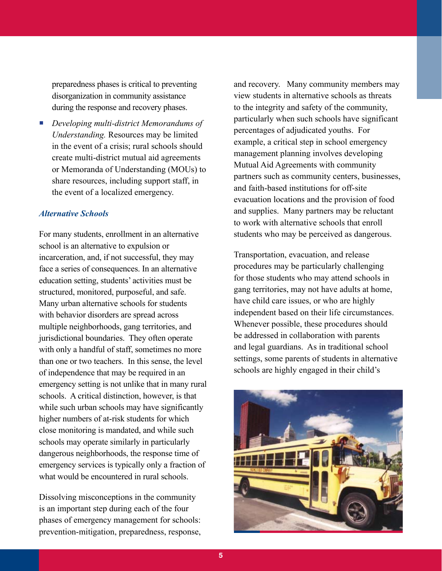preparedness phases is critical to preventing disorganization in community assistance during the response and recovery phases.

 *Developing multi-district Memorandums of Understanding.* Resources may be limited in the event of a crisis; rural schools should create multi-district mutual aid agreements or Memoranda of Understanding (MOUs) to share resources, including support staff, in the event of a localized emergency.

### *Alternative Schools*

For many students, enrollment in an alternative school is an alternative to expulsion or incarceration, and, if not successful, they may face a series of consequences. In an alternative education setting, students' activities must be structured, monitored, purposeful, and safe. Many urban alternative schools for students with behavior disorders are spread across multiple neighborhoods, gang territories, and jurisdictional boundaries. They often operate with only a handful of staff, sometimes no more than one or two teachers. In this sense, the level of independence that may be required in an emergency setting is not unlike that in many rural schools. A critical distinction, however, is that while such urban schools may have significantly higher numbers of at-risk students for which close monitoring is mandated, and while such schools may operate similarly in particularly dangerous neighborhoods, the response time of emergency services is typically only a fraction of what would be encountered in rural schools.

Dissolving misconceptions in the community is an important step during each of the four phases of emergency management for schools: prevention-mitigation, preparedness, response, and recovery. Many community members may view students in alternative schools as threats to the integrity and safety of the community, particularly when such schools have significant percentages of adjudicated youths. For example, a critical step in school emergency management planning involves developing Mutual Aid Agreements with community partners such as community centers, businesses, and faith-based institutions for off-site evacuation locations and the provision of food and supplies. Many partners may be reluctant to work with alternative schools that enroll students who may be perceived as dangerous.

Transportation, evacuation, and release procedures may be particularly challenging for those students who may attend schools in gang territories, may not have adults at home, have child care issues, or who are highly independent based on their life circumstances. Whenever possible, these procedures should be addressed in collaboration with parents and legal guardians. As in traditional school settings, some parents of students in alternative schools are highly engaged in their child's

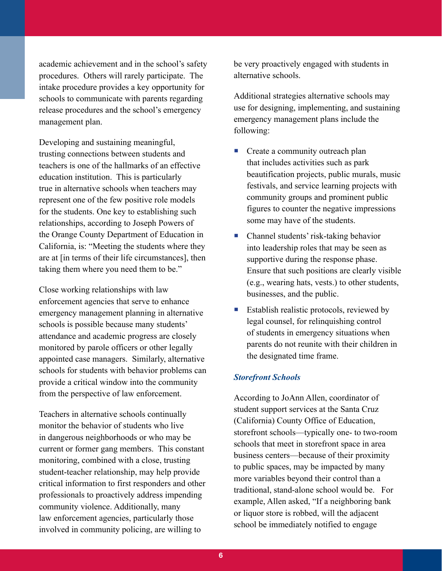academic achievement and in the school's safety procedures. Others will rarely participate. The intake procedure provides a key opportunity for schools to communicate with parents regarding release procedures and the school's emergency management plan.

Developing and sustaining meaningful, trusting connections between students and teachers is one of the hallmarks of an effective education institution. This is particularly true in alternative schools when teachers may represent one of the few positive role models for the students. One key to establishing such relationships, according to Joseph Powers of the Orange County Department of Education in California, is: "Meeting the students where they are at [in terms of their life circumstances], then taking them where you need them to be."

Close working relationships with law enforcement agencies that serve to enhance emergency management planning in alternative schools is possible because many students' attendance and academic progress are closely monitored by parole officers or other legally appointed case managers. Similarly, alternative schools for students with behavior problems can provide a critical window into the community from the perspective of law enforcement.

Teachers in alternative schools continually monitor the behavior of students who live in dangerous neighborhoods or who may be current or former gang members. This constant monitoring, combined with a close, trusting student-teacher relationship, may help provide critical information to first responders and other professionals to proactively address impending community violence. Additionally, many law enforcement agencies, particularly those involved in community policing, are willing to

be very proactively engaged with students in alternative schools.

Additional strategies alternative schools may use for designing, implementing, and sustaining emergency management plans include the following:

- Create a community outreach plan that includes activities such as park beautification projects, public murals, music festivals, and service learning projects with community groups and prominent public figures to counter the negative impressions some may have of the students.
- Channel students' risk-taking behavior into leadership roles that may be seen as supportive during the response phase. Ensure that such positions are clearly visible (e.g., wearing hats, vests.) to other students, businesses, and the public.
- Establish realistic protocols, reviewed by legal counsel, for relinquishing control of students in emergency situations when parents do not reunite with their children in the designated time frame.

## *Storefront Schools*

According to JoAnn Allen, coordinator of student support services at the Santa Cruz (California) County Office of Education, storefront schools—typically one- to two-room schools that meet in storefront space in area business centers—because of their proximity to public spaces, may be impacted by many more variables beyond their control than a traditional, stand-alone school would be. For example, Allen asked, "If a neighboring bank or liquor store is robbed, will the adjacent school be immediately notified to engage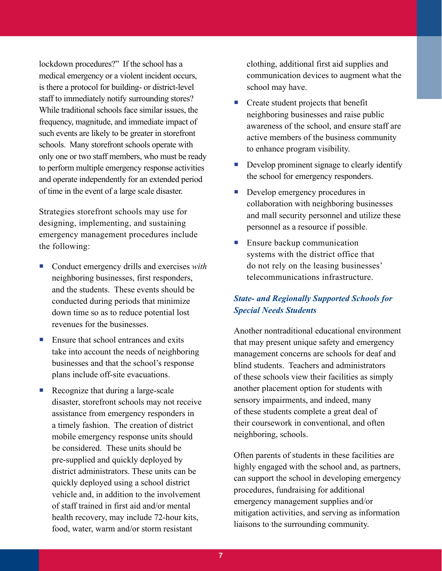lockdown procedures?" If the school has a medical emergency or a violent incident occurs, is there a protocol for building- or district-level staff to immediately notify surrounding stores? While traditional schools face similar issues, the frequency, magnitude, and immediate impact of such events are likely to be greater in storefront schools. Many storefront schools operate with only one or two staff members, who must be ready to perform multiple emergency response activities and operate independently for an extended period of time in the event of a large scale disaster.

Strategies storefront schools may use for designing, implementing, and sustaining emergency management procedures include the following:

- Conduct emergency drills and exercises *with* neighboring businesses, first responders, and the students. These events should be conducted during periods that minimize down time so as to reduce potential lost revenues for the businesses.
- $\blacksquare$  Ensure that school entrances and exits take into account the needs of neighboring businesses and that the school's response plans include off-site evacuations.
- Recognize that during a large-scale disaster, storefront schools may not receive assistance from emergency responders in a timely fashion. The creation of district mobile emergency response units should be considered. These units should be pre-supplied and quickly deployed by district administrators. These units can be quickly deployed using a school district vehicle and, in addition to the involvement of staff trained in first aid and/or mental health recovery, may include 72-hour kits, food, water, warm and/or storm resistant

clothing, additional first aid supplies and communication devices to augment what the school may have.

- Create student projects that benefit neighboring businesses and raise public awareness of the school, and ensure staff are active members of the business community to enhance program visibility.
- Develop prominent signage to clearly identify the school for emergency responders.
- Develop emergency procedures in collaboration with neighboring businesses and mall security personnel and utilize these personnel as a resource if possible.
- **Ensure backup communication** systems with the district office that do not rely on the leasing businesses' telecommunications infrastructure.

# *State- and Regionally Supported Schools for Special Needs Students*

Another nontraditional educational environment that may present unique safety and emergency management concerns are schools for deaf and blind students. Teachers and administrators of these schools view their facilities as simply another placement option for students with sensory impairments, and indeed, many of these students complete a great deal of their coursework in conventional, and often neighboring, schools.

Often parents of students in these facilities are highly engaged with the school and, as partners, can support the school in developing emergency procedures, fundraising for additional emergency management supplies and/or mitigation activities, and serving as information liaisons to the surrounding community.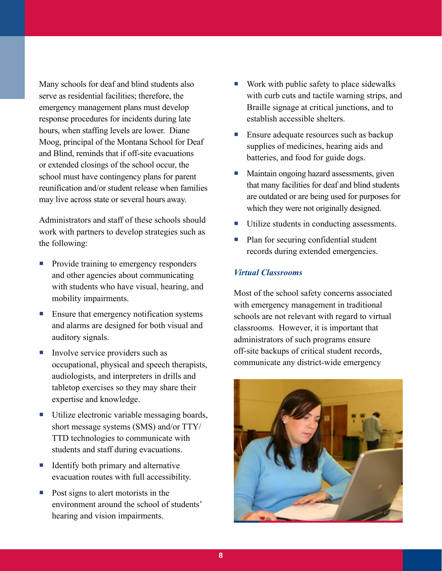Many schools for deaf and blind students also serve as residential facilities; therefore, the emergency management plans must develop response procedures for incidents during late hours, when staffing levels are lower. Diane Moog, principal of the Montana School for Deaf and Blind, reminds that if off-site evacuations or extended closings of the school occur, the school must have contingency plans for parent reunification and/or student release when families may live across state or several hours away.

Administrators and staff of these schools should work with partners to develop strategies such as the following:

- Provide training to emergency responders and other agencies about communicating with students who have visual, hearing, and mobility impairments.
- Ensure that emergency notification systems and alarms are designed for both visual and auditory signals.
- Involve service providers such as occupational, physical and speech therapists, audiologists, and interpreters in drills and tabletop exercises so they may share their expertise and knowledge.
- Utilize electronic variable messaging boards, short message systems (SMS) and/or TTY/ TTD technologies to communicate with students and staff during evacuations.
- Identify both primary and alternative evacuation routes with full accessibility.
- $\blacksquare$  Post signs to alert motorists in the environment around the school of students' hearing and vision impairments.
- $\blacksquare$  Work with public safety to place sidewalks with curb cuts and tactile warning strips, and Braille signage at critical junctions, and to establish accessible shelters.
- **Ensure adequate resources such as backup** supplies of medicines, hearing aids and batteries, and food for guide dogs.
- Maintain ongoing hazard assessments, given that many facilities for deaf and blind students are outdated or are being used for purposes for which they were not originally designed.
- Utilize students in conducting assessments.
- Plan for securing confidential student records during extended emergencies.

## *Virtual Classrooms*

Most of the school safety concerns associated with emergency management in traditional schools are not relevant with regard to virtual classrooms. However, it is important that administrators of such programs ensure off-site backups of critical student records, communicate any district-wide emergency

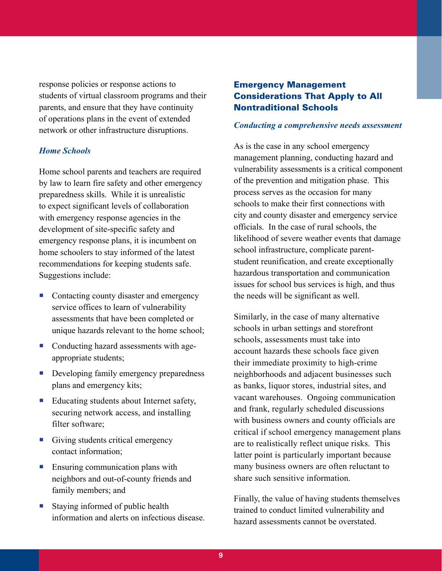response policies or response actions to students of virtual classroom programs and their parents, and ensure that they have continuity of operations plans in the event of extended network or other infrastructure disruptions.

#### *Home Schools*

Home school parents and teachers are required by law to learn fire safety and other emergency preparedness skills. While it is unrealistic to expect significant levels of collaboration with emergency response agencies in the development of site-specific safety and emergency response plans, it is incumbent on home schoolers to stay informed of the latest recommendations for keeping students safe. Suggestions include:

- Contacting county disaster and emergency service offices to learn of vulnerability assessments that have been completed or unique hazards relevant to the home school;
- Conducting hazard assessments with ageappropriate students;
- Developing family emergency preparedness plans and emergency kits;
- Educating students about Internet safety, securing network access, and installing filter software;
- Giving students critical emergency contact information;
- **Ensuring communication plans with** neighbors and out-of-county friends and family members; and
- Staying informed of public health information and alerts on infectious disease.

## Emergency Management Considerations That Apply to All Nontraditional Schools

#### *Conducting a comprehensive needs assessment*

As is the case in any school emergency management planning, conducting hazard and vulnerability assessments is a critical component of the prevention and mitigation phase. This process serves as the occasion for many schools to make their first connections with city and county disaster and emergency service officials. In the case of rural schools, the likelihood of severe weather events that damage school infrastructure, complicate parentstudent reunification, and create exceptionally hazardous transportation and communication issues for school bus services is high, and thus the needs will be significant as well.

Similarly, in the case of many alternative schools in urban settings and storefront schools, assessments must take into account hazards these schools face given their immediate proximity to high-crime neighborhoods and adjacent businesses such as banks, liquor stores, industrial sites, and vacant warehouses. Ongoing communication and frank, regularly scheduled discussions with business owners and county officials are critical if school emergency management plans are to realistically reflect unique risks. This latter point is particularly important because many business owners are often reluctant to share such sensitive information.

Finally, the value of having students themselves trained to conduct limited vulnerability and hazard assessments cannot be overstated.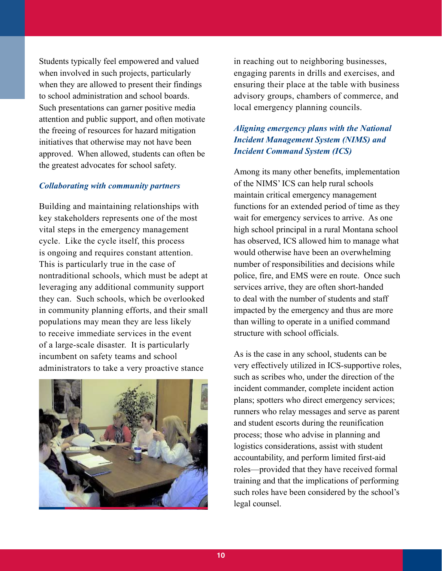Students typically feel empowered and valued when involved in such projects, particularly when they are allowed to present their findings to school administration and school boards. Such presentations can garner positive media attention and public support, and often motivate the freeing of resources for hazard mitigation initiatives that otherwise may not have been approved. When allowed, students can often be the greatest advocates for school safety.

## *Collaborating with community partners*

Building and maintaining relationships with key stakeholders represents one of the most vital steps in the emergency management cycle. Like the cycle itself, this process is ongoing and requires constant attention. This is particularly true in the case of nontraditional schools, which must be adept at leveraging any additional community support they can. Such schools, which be overlooked in community planning efforts, and their small populations may mean they are less likely to receive immediate services in the event of a large-scale disaster. It is particularly incumbent on safety teams and school administrators to take a very proactive stance



in reaching out to neighboring businesses, engaging parents in drills and exercises, and ensuring their place at the table with business advisory groups, chambers of commerce, and local emergency planning councils.

# *Aligning emergency plans with the National Incident Management System (NIMS) and Incident Command System (ICS)*

Among its many other benefits, implementation of the NIMS' ICS can help rural schools maintain critical emergency management functions for an extended period of time as they wait for emergency services to arrive. As one high school principal in a rural Montana school has observed, ICS allowed him to manage what would otherwise have been an overwhelming number of responsibilities and decisions while police, fire, and EMS were en route. Once such services arrive, they are often short-handed to deal with the number of students and staff impacted by the emergency and thus are more than willing to operate in a unified command structure with school officials.

As is the case in any school, students can be very effectively utilized in ICS-supportive roles, such as scribes who, under the direction of the incident commander, complete incident action plans; spotters who direct emergency services; runners who relay messages and serve as parent and student escorts during the reunification process; those who advise in planning and logistics considerations, assist with student accountability, and perform limited first-aid roles—provided that they have received formal training and that the implications of performing such roles have been considered by the school's legal counsel.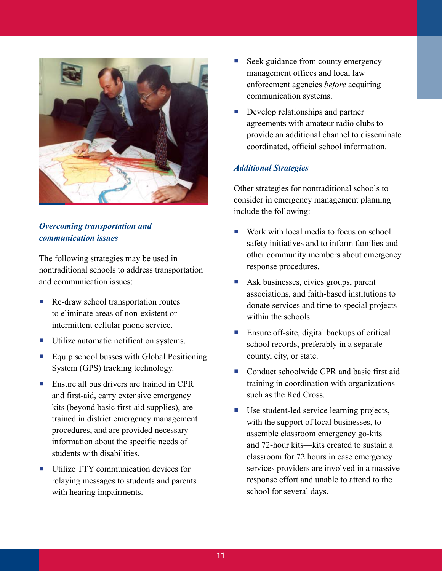

# *Overcoming transportation and communication issues*

The following strategies may be used in nontraditional schools to address transportation and communication issues:

- Re-draw school transportation routes to eliminate areas of non-existent or intermittent cellular phone service.
- **Utilize automatic notification systems.**
- Equip school busses with Global Positioning System (GPS) tracking technology.
- Ensure all bus drivers are trained in CPR and first-aid, carry extensive emergency kits (beyond basic first-aid supplies), are trained in district emergency management procedures, and are provided necessary information about the specific needs of students with disabilities.
- Utilize TTY communication devices for relaying messages to students and parents with hearing impairments.
- Seek guidance from county emergency management offices and local law enforcement agencies *before* acquiring communication systems.
- Develop relationships and partner agreements with amateur radio clubs to provide an additional channel to disseminate coordinated, official school information.

## *Additional Strategies*

Other strategies for nontraditional schools to consider in emergency management planning include the following:

- Work with local media to focus on school safety initiatives and to inform families and other community members about emergency response procedures.
- Ask businesses, civics groups, parent associations, and faith-based institutions to donate services and time to special projects within the schools.
- Ensure off-site, digital backups of critical school records, preferably in a separate county, city, or state.
- Conduct schoolwide CPR and basic first aid training in coordination with organizations such as the Red Cross.
- Use student-led service learning projects, with the support of local businesses, to assemble classroom emergency go-kits and 72-hour kits—kits created to sustain a classroom for 72 hours in case emergency services providers are involved in a massive response effort and unable to attend to the school for several days.